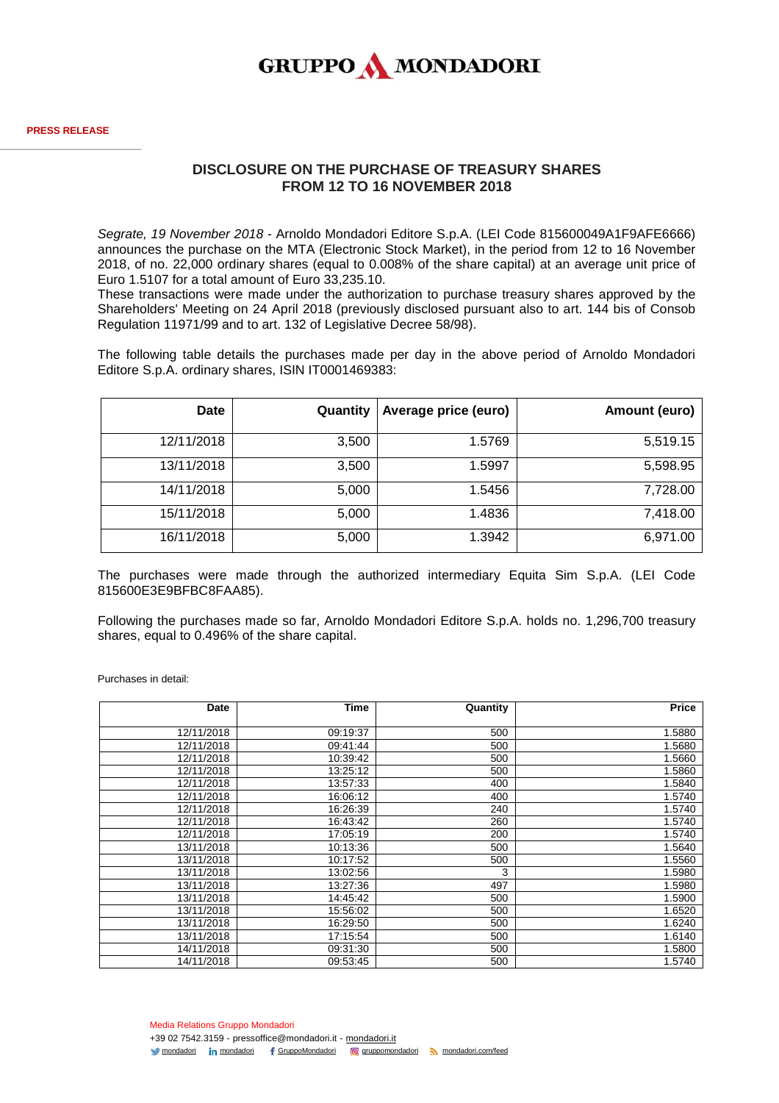

## **DISCLOSURE ON THE PURCHASE OF TREASURY SHARES FROM 12 TO 16 NOVEMBER 2018**

*Segrate, 19 November 2018* - Arnoldo Mondadori Editore S.p.A. (LEI Code 815600049A1F9AFE6666) announces the purchase on the MTA (Electronic Stock Market), in the period from 12 to 16 November 2018, of no. 22,000 ordinary shares (equal to 0.008% of the share capital) at an average unit price of Euro 1.5107 for a total amount of Euro 33,235.10.

These transactions were made under the authorization to purchase treasury shares approved by the Shareholders' Meeting on 24 April 2018 (previously disclosed pursuant also to art. 144 bis of Consob Regulation 11971/99 and to art. 132 of Legislative Decree 58/98).

The following table details the purchases made per day in the above period of Arnoldo Mondadori Editore S.p.A. ordinary shares, ISIN IT0001469383:

| Date       | Quantity | Average price (euro) | Amount (euro) |
|------------|----------|----------------------|---------------|
| 12/11/2018 | 3,500    | 1.5769               | 5,519.15      |
| 13/11/2018 | 3,500    | 1.5997               | 5,598.95      |
| 14/11/2018 | 5,000    | 1.5456               | 7,728.00      |
| 15/11/2018 | 5,000    | 1.4836               | 7,418.00      |
| 16/11/2018 | 5,000    | 1.3942               | 6,971.00      |

The purchases were made through the authorized intermediary Equita Sim S.p.A. (LEI Code 815600E3E9BFBC8FAA85).

Following the purchases made so far, Arnoldo Mondadori Editore S.p.A. holds no. 1,296,700 treasury shares, equal to 0.496% of the share capital.

Purchases in detail:

| Date       | Time     | Quantity | <b>Price</b> |
|------------|----------|----------|--------------|
| 12/11/2018 | 09:19:37 | 500      | 1.5880       |
| 12/11/2018 | 09:41:44 | 500      | 1.5680       |
| 12/11/2018 | 10:39:42 | 500      | 1.5660       |
| 12/11/2018 | 13:25:12 | 500      | 1.5860       |
| 12/11/2018 | 13:57:33 | 400      | 1.5840       |
| 12/11/2018 | 16:06:12 | 400      | 1.5740       |
| 12/11/2018 | 16:26:39 | 240      | 1.5740       |
| 12/11/2018 | 16:43:42 | 260      | 1.5740       |
| 12/11/2018 | 17:05:19 | 200      | 1.5740       |
| 13/11/2018 | 10:13:36 | 500      | 1.5640       |
| 13/11/2018 | 10:17:52 | 500      | 1.5560       |
| 13/11/2018 | 13:02:56 | 3        | 1.5980       |
| 13/11/2018 | 13:27:36 | 497      | 1.5980       |
| 13/11/2018 | 14:45:42 | 500      | 1.5900       |
| 13/11/2018 | 15:56:02 | 500      | 1.6520       |
| 13/11/2018 | 16:29:50 | 500      | 1.6240       |
| 13/11/2018 | 17:15:54 | 500      | 1.6140       |
| 14/11/2018 | 09:31:30 | 500      | 1.5800       |
| 14/11/2018 | 09:53:45 | 500      | 1.5740       |